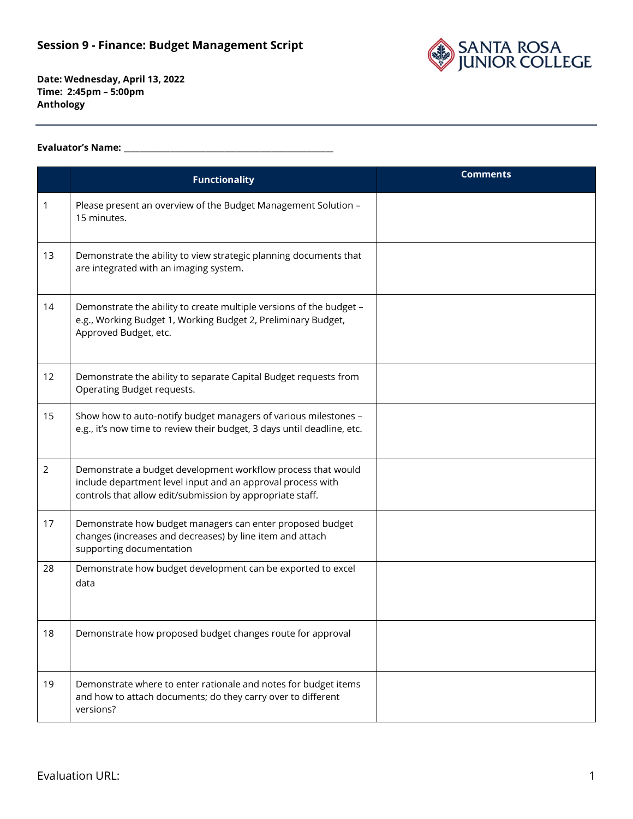

## **Evaluator's Name: \_\_\_\_\_\_\_\_\_\_\_\_\_\_\_\_\_\_\_\_\_\_\_\_\_\_\_\_\_\_\_\_\_\_\_\_\_\_\_\_\_\_\_\_\_\_\_\_\_\_\_\_\_\_**

|                | <b>Functionality</b>                                                                                                                                                                     | <b>Comments</b> |
|----------------|------------------------------------------------------------------------------------------------------------------------------------------------------------------------------------------|-----------------|
| 1              | Please present an overview of the Budget Management Solution -<br>15 minutes.                                                                                                            |                 |
| 13             | Demonstrate the ability to view strategic planning documents that<br>are integrated with an imaging system.                                                                              |                 |
| 14             | Demonstrate the ability to create multiple versions of the budget -<br>e.g., Working Budget 1, Working Budget 2, Preliminary Budget,<br>Approved Budget, etc.                            |                 |
| 12             | Demonstrate the ability to separate Capital Budget requests from<br>Operating Budget requests.                                                                                           |                 |
| 15             | Show how to auto-notify budget managers of various milestones -<br>e.g., it's now time to review their budget, 3 days until deadline, etc.                                               |                 |
| $\overline{2}$ | Demonstrate a budget development workflow process that would<br>include department level input and an approval process with<br>controls that allow edit/submission by appropriate staff. |                 |
| 17             | Demonstrate how budget managers can enter proposed budget<br>changes (increases and decreases) by line item and attach<br>supporting documentation                                       |                 |
| 28             | Demonstrate how budget development can be exported to excel<br>data                                                                                                                      |                 |
| 18             | Demonstrate how proposed budget changes route for approval                                                                                                                               |                 |
| 19             | Demonstrate where to enter rationale and notes for budget items<br>and how to attach documents; do they carry over to different<br>versions?                                             |                 |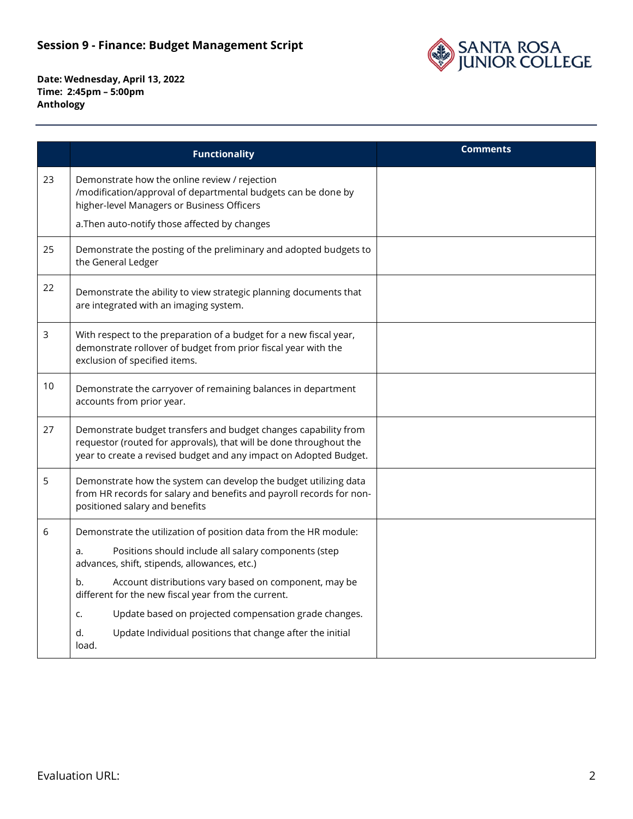

|    | <b>Functionality</b>                                                                                                                                                                                       | <b>Comments</b> |
|----|------------------------------------------------------------------------------------------------------------------------------------------------------------------------------------------------------------|-----------------|
| 23 | Demonstrate how the online review / rejection<br>/modification/approval of departmental budgets can be done by<br>higher-level Managers or Business Officers                                               |                 |
|    | a. Then auto-notify those affected by changes                                                                                                                                                              |                 |
| 25 | Demonstrate the posting of the preliminary and adopted budgets to<br>the General Ledger                                                                                                                    |                 |
| 22 | Demonstrate the ability to view strategic planning documents that<br>are integrated with an imaging system.                                                                                                |                 |
| 3  | With respect to the preparation of a budget for a new fiscal year,<br>demonstrate rollover of budget from prior fiscal year with the<br>exclusion of specified items.                                      |                 |
| 10 | Demonstrate the carryover of remaining balances in department<br>accounts from prior year.                                                                                                                 |                 |
| 27 | Demonstrate budget transfers and budget changes capability from<br>requestor (routed for approvals), that will be done throughout the<br>year to create a revised budget and any impact on Adopted Budget. |                 |
| 5  | Demonstrate how the system can develop the budget utilizing data<br>from HR records for salary and benefits and payroll records for non-<br>positioned salary and benefits                                 |                 |
| 6  | Demonstrate the utilization of position data from the HR module:                                                                                                                                           |                 |
|    | Positions should include all salary components (step<br>a.<br>advances, shift, stipends, allowances, etc.)                                                                                                 |                 |
|    | Account distributions vary based on component, may be<br>b.<br>different for the new fiscal year from the current.                                                                                         |                 |
|    | Update based on projected compensation grade changes.<br>c.                                                                                                                                                |                 |
|    | Update Individual positions that change after the initial<br>d.<br>load.                                                                                                                                   |                 |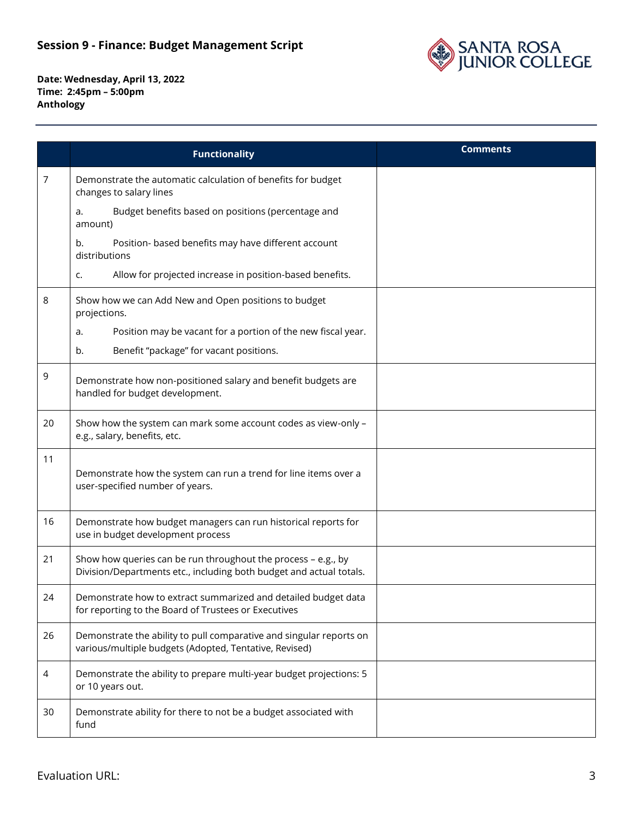

|    | <b>Functionality</b>                                                                                                                 | <b>Comments</b> |
|----|--------------------------------------------------------------------------------------------------------------------------------------|-----------------|
| 7  | Demonstrate the automatic calculation of benefits for budget<br>changes to salary lines                                              |                 |
|    | Budget benefits based on positions (percentage and<br>a.<br>amount)                                                                  |                 |
|    | Position- based benefits may have different account<br>b.<br>distributions                                                           |                 |
|    | Allow for projected increase in position-based benefits.<br>c.                                                                       |                 |
| 8  | Show how we can Add New and Open positions to budget<br>projections.                                                                 |                 |
|    | Position may be vacant for a portion of the new fiscal year.<br>a.                                                                   |                 |
|    | Benefit "package" for vacant positions.<br>b.                                                                                        |                 |
| 9  | Demonstrate how non-positioned salary and benefit budgets are<br>handled for budget development.                                     |                 |
| 20 | Show how the system can mark some account codes as view-only -<br>e.g., salary, benefits, etc.                                       |                 |
| 11 | Demonstrate how the system can run a trend for line items over a<br>user-specified number of years.                                  |                 |
| 16 | Demonstrate how budget managers can run historical reports for<br>use in budget development process                                  |                 |
| 21 | Show how queries can be run throughout the process - e.g., by<br>Division/Departments etc., including both budget and actual totals. |                 |
| 24 | Demonstrate how to extract summarized and detailed budget data<br>for reporting to the Board of Trustees or Executives               |                 |
| 26 | Demonstrate the ability to pull comparative and singular reports on<br>various/multiple budgets (Adopted, Tentative, Revised)        |                 |
| 4  | Demonstrate the ability to prepare multi-year budget projections: 5<br>or 10 years out.                                              |                 |
| 30 | Demonstrate ability for there to not be a budget associated with<br>fund                                                             |                 |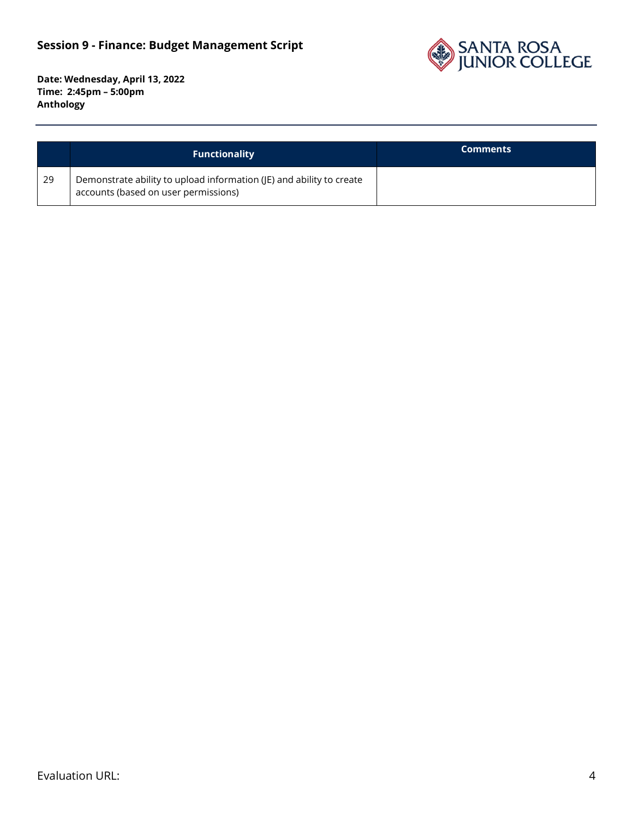

|    | <b>Functionality</b>                                                                                         | <b>Comments</b> |
|----|--------------------------------------------------------------------------------------------------------------|-----------------|
| 29 | Demonstrate ability to upload information (JE) and ability to create<br>accounts (based on user permissions) |                 |